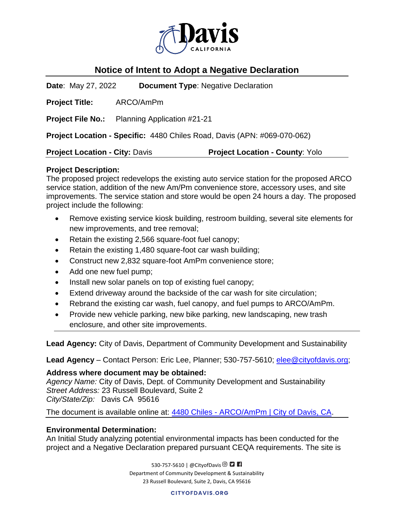

# **Notice of Intent to Adopt a Negative Declaration**

**Date**: May 27, 2022 **Document Type**: Negative Declaration

**Project Title:** ARCO/AmPm

**Project File No.:** Planning Application #21-21

**Project Location - Specific:** 4480 Chiles Road, Davis (APN: #069-070-062)

**Project Location - City:** Davis **Project Location - County**: Yolo

# **Project Description:**

The proposed project redevelops the existing auto service station for the proposed ARCO service station, addition of the new Am/Pm convenience store, accessory uses, and site improvements. The service station and store would be open 24 hours a day. The proposed project include the following:

- Remove existing service kiosk building, restroom building, several site elements for new improvements, and tree removal;
- Retain the existing 2,566 square-foot fuel canopy;
- Retain the existing 1,480 square-foot car wash building;
- Construct new 2,832 square-foot AmPm convenience store;
- Add one new fuel pump;
- Install new solar panels on top of existing fuel canopy;
- Extend driveway around the backside of the car wash for site circulation;
- Rebrand the existing car wash, fuel canopy, and fuel pumps to ARCO/AmPm.
- Provide new vehicle parking, new bike parking, new landscaping, new trash enclosure, and other site improvements.

**Lead Agency:** City of Davis, Department of Community Development and Sustainability

Lead Agency – Contact Person: Eric Lee, Planner; 530-757-5610; *elee@cityofdavis.org*;

# **Address where document may be obtained:**

*Agency Name:* City of Davis, Dept. of Community Development and Sustainability *Street Address:* 23 Russell Boulevard, Suite 2 *City/State/Zip:* Davis CA 95616

The document is available online at: 4480 Chiles - [ARCO/AmPm | City of Davis, CA.](https://www.cityofdavis.org/city-hall/community-development-and-sustainability/development-projects/4480-chiles-road-arco-ampm)

# **Environmental Determination:**

An Initial Study analyzing potential environmental impacts has been conducted for the project and a Negative Declaration prepared pursuant CEQA requirements. The site is

> 530-757-5610 | @CityofDavis <sup>©</sup> **D F** Department of Community Development & Sustainability 23 Russell Boulevard, Suite 2, Davis, CA 95616

> > **CITYOFDAVIS.ORG**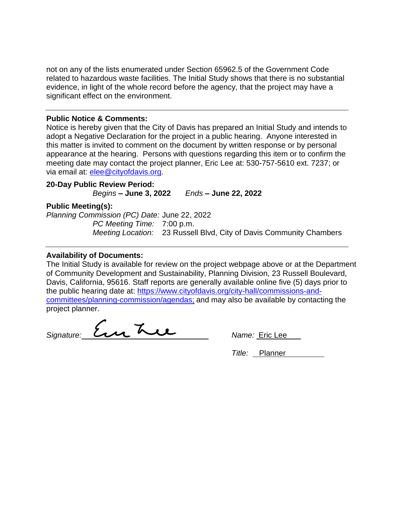not on any of the lists enumerated under Section 65962.5 of the Government Code related to hazardous waste facilities. The Initial Study shows that there is no substantial evidence, in light of the whole record before the agency, that the project may have a significant effect on the environment.

#### **Public Notice & Comments:**

Notice is hereby given that the City of Davis has prepared an Initial Study and intends to adopt a Negative Declaration for the project in a public hearing. Anyone interested in this matter is invited to comment on the document by written response or by personal appearance at the hearing. Persons with questions regarding this item or to confirm the meeting date may contact the project planner, Eric Lee at: 530-757-5610 ext. 7237; or via email at: elee@cityofdavis.org.

# **20-Day Public Review Period:**

*Begins –* **June 3, 2022** *Ends –* **June 22, 2022**

### **Public Meeting(s):**

*Planning Commission (PC) Date:* June 22, 2022 *PC Meeting Time:* 7:00 p.m. *Meeting Location:* 23 Russell Blvd, City of Davis Community Chambers

## **Availability of Documents:**

The Initial Study is available for review on the project webpage above or at the Department of Community Development and Sustainability, Planning Division, 23 Russell Boulevard, Davis, California, 95616. Staff reports are generally available online five (5) days prior to the public hearing date at: [https://www.cityofdavis.org/city-hall/commissions-and](https://www.cityofdavis.org/city-hall/commissions-and-committees/planning-commission/agendas)[committees/planning-commission/agendas;](https://www.cityofdavis.org/city-hall/commissions-and-committees/planning-commission/agendas) and may also be available by contacting the project planner.

Signature: <u>En Luis Vame: E</u>ric Lee

*Title:* Planner